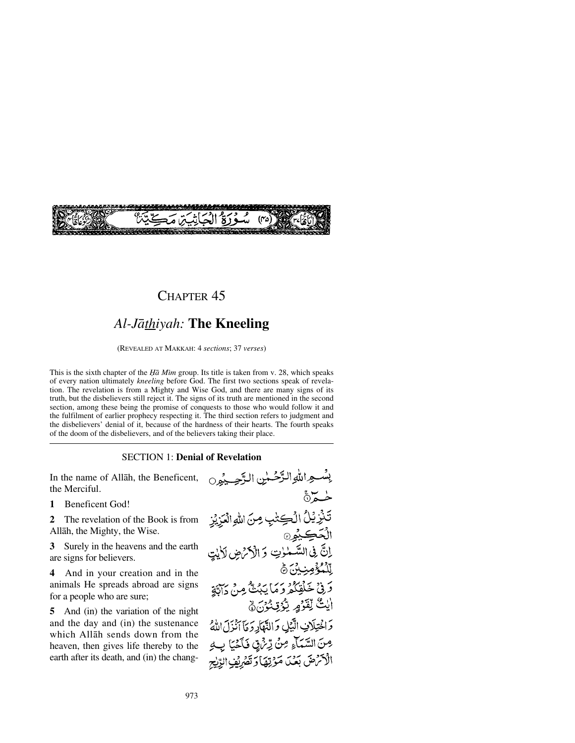

## CHAPTER 45

# *Al-Jåthiyah:* **The Kneeling**

(REVEALED AT MAKKAH: 4 *sections*; 37 *verses*)

This is the sixth chapter of the *Ḥā Mīm* group. Its title is taken from v. 28, which speaks of every nation ultimately *kneeling* before God. The first two sections speak of revelation. The revelation is from a Mighty and Wise God, and there are many signs of its truth, but the disbelievers still reject it. The signs of its truth are mentioned in the second section, among these being the promise of conquests to those who would follow it and the fulfilment of earlier prophecy respecting it. The third section refers to judgment and the disbelievers' denial of it, because of the hardness of their hearts. The fourth speaks of the doom of the disbelievers, and of the believers taking their place.

#### SECTION 1: **Denial of Revelation**

In the name of Allåh, the Beneficent, the Merciful.

**1** Beneficent God!

**2** The revelation of the Book is from Allåh, the Mighty, the Wise.

**3** Surely in the heavens and the earth are signs for believers.

**4** And in your creation and in the animals He spreads abroad are signs for a people who are sure;

**5** And (in) the variation of the night and the day and (in) the sustenance which Allåh sends down from the heaven, then gives life thereby to the earth after its death, and (in) the chang-

بِسْعِ اللَّهِ الرَّحْمٰنِ الرَّحِيمُون خە تَذَرِّيُلُ الْكِتْنِبِ مِنَ اللهِ الْمَزِيْزِ الۡتَحۡڪِيۡمِنَ<br>الۡتَحۡڪِيۡمِنَ کَ الۡاَکۡنُ ضِ لاَلِيۡتِ لِّلْمُؤْمِنِ أَنَّ وَفِيْ خَلْقِكُمْ وَمَا يَبْتُ مِنْ دَابَةٍ ايْتُ لِقَوْمٍ يُؤْتِدُونَ ﴾ وَاخْتِلَافِ الَّبْلِ وَالثَّهَارِ وَمَآ أَنْزَلَ اللَّهُ مِنَ السَّمَاءِ مِنْ رِّئْهِي فَأَخْيَا بِ2 الْأَثْرَضَ بَعْدَ مَوْتِهَا وَتَصْرِيْنِ الرِّيْبِجِ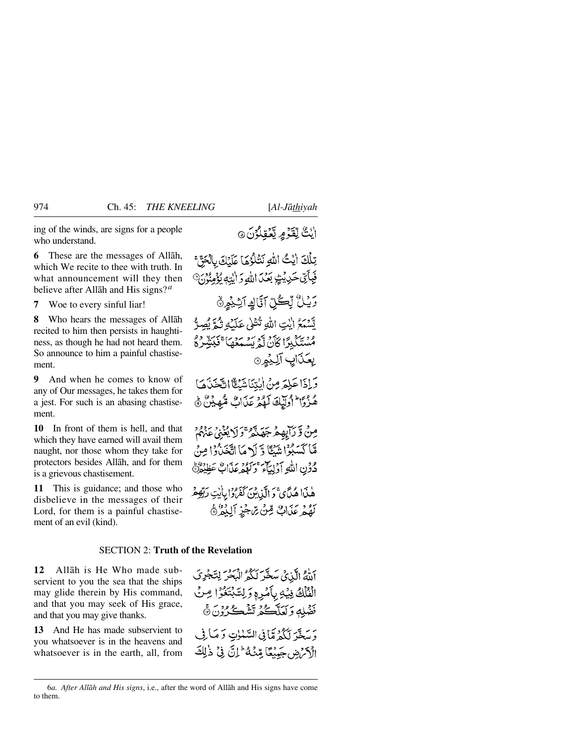ing of the winds, are signs for a people who understand.

**6** These are the messages of Allåh, which We recite to thee with truth. In what announcement will they then believe after Allåh and His signs?*<sup>a</sup>*

**7** Woe to every sinful liar!

**8** Who hears the messages of Allåh recited to him then persists in haughtiness, as though he had not heard them. So announce to him a painful chastisement.

**9** And when he comes to know of any of Our messages, he takes them for a jest. For such is an abasing chastisement.

**10** In front of them is hell, and that which they have earned will avail them naught, nor those whom they take for protectors besides Allåh, and for them is a grievous chastisement.

**11** This is guidance; and those who disbelieve in the messages of their Lord, for them is a painful chastisement of an evil (kind).

## ايْتٌ لِّقَوْمٍ يَّعْقِلُوْنَ ۞

تِلَكَ إيْتُ اللهِ نَتَلَوُّهَا عَلَيْكَ بِالْحَقَّ فِبِأَيِّ حَدِيْثٍ بَعْدَ اللَّهِ وَ الِّذِمِ يُؤْمِنُونَ رَيْلُ لِّكُلِّ آَيَّاكِ آتِّ بِمِنْ تَّسْمَعُ الَّذِي اللَّهِ تُنْتَلِي عَلَيْكِ تُمَّ يُصِرُّ وَدِيَّكْبِرًا كَأَنْ لَّمَرِيْسُمَعُهَا كَبَيْتِيْرِدُّ يعَذَابِ آلِيْمِنَ وَإِذَا عَلِمَ مِنْ الْتِنَاشَنِكَّااتَّخَذَهَا هُزُوًا لِوَلَيْكَ لَهُمْ عَذَابٌ مُّهِيْنٌ ﴾ مِنْ وَّ رَآبِهِمْ جَهَدَّهُو ۚ وَ لَا يُغْنِي عَنْهُمْ مَّا كَسَبُوۡا نَتَبُكَا وَٓ لَهٖ مَاۤ اتَّخَبُرُوۡا مِنۡ ۖ

دُوْنِ اللَّهِ أَوْلِيَاءَ وَكَهْدَعَدَاتٍ عَظِيْرَةٍ

هٰنَا هُدَّي ۚ دَ الَّذِينَ كَفَرُدًا بِأَيْتِ رَبِّهِ هُمْ بِهِ دِ بَرَابٌ مِّنْ بِرَجْزِ أَلِيْهُ ﴾

#### SECTION 2: **Truth of the Revelation**

**12** Allåh is He Who made subservient to you the sea that the ships may glide therein by His command, and that you may seek of His grace, and that you may give thanks.

**13** And He has made subservient to you whatsoever is in the heavens and whatsoever is in the earth, all, from أَلَّهُ الَّذِيَّ سَخَّرَ لَكُمُّ الْبَحْرَ لِتَجْرِيَ الْفَلْكُ فِيْكِي بِأَمْرِهِ وَلِتَّبْتَغُوْا مِنْ فَضْلِهِ وَلَعَلَّكُمْ تَشْكُرُونَ ۞ وَ سَعَّةَ لَكُهُ مَّا فِي السَّلْمَاتِ وَ مَبَا فِي الْكَرْضِ جَهِنْعًا مِّنْهُ ۖ إِنَّ فِي ذٰلِكَ

<sup>6</sup>*a. After Allåh and His signs*, i.e., after the word of Allåh and His signs have come to them.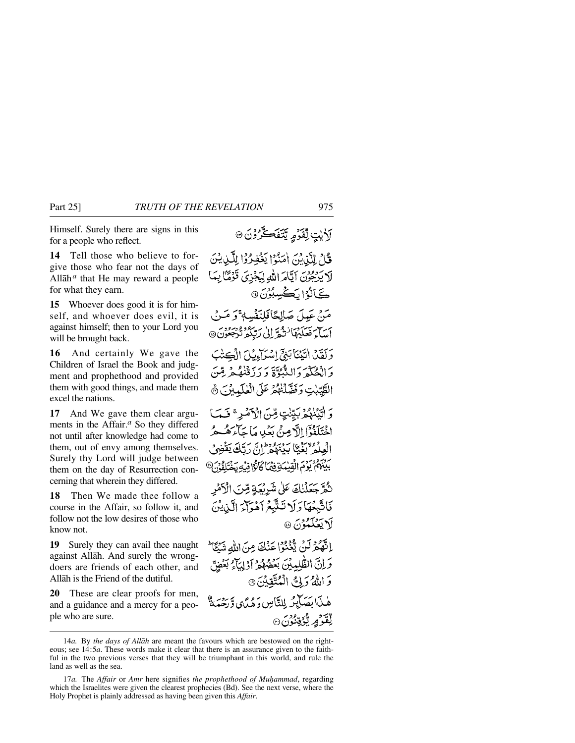Himself. Surely there are signs in this for a people who reflect.

**14** Tell those who believe to forgive those who fear not the days of Allåh*<sup>a</sup>* that He may reward a people for what they earn.

**15** Whoever does good it is for himself, and whoever does evil, it is against himself; then to your Lord you will be brought back.

**16** And certainly We gave the Children of Israel the Book and judgment and prophethood and provided them with good things, and made them excel the nations.

**17** And We gave them clear arguments in the Affair.*<sup>a</sup>* So they differed not until after knowledge had come to them, out of envy among themselves. Surely thy Lord will judge between them on the day of Resurrection concerning that wherein they differed.

**18** Then We made thee follow a course in the Affair, so follow it, and follow not the low desires of those who know not.

**19** Surely they can avail thee naught against Allåh. And surely the wrongdoers are friends of each other, and Allåh is the Friend of the dutiful.

**20** These are clear proofs for men, and a guidance and a mercy for a people who are sure.

# **َلاٰيٰتٍ لِّقَدِّمٍ يَّتَفَكَّرُوْنَ** قُلْ لِلَّدْيُنَ أُمَنُوْا يَغْفِرُوْا لِلَّيْنِيُنَ لَايَرْجُوْنَ آيَّامَ اللَّهِ لِيَجْزِيَ قَوْمًا لِمَا ڪَانُرُ (پُڪُسِبُونَ @ مَنْ عَبِيلَ صَالِحًا فَلِنَفْسِهِ ۚ وَ مَبِنَ أَسَاءَ فَعَلَيْهَا نُمْحَةً إِلَىٰ رَبِّكُمْ تُرْجَعُونَ@ وَلَقَدْ الْيَيْنَابِيْيَ إِسْرَاءِ بِكِيْ الْمَكِتْبَ وَالْحُكْمَ وَالِدُّبُوَّةَ وَ رَزَقْنُهُ هُرِيقَنّ الطَّيِّبْتِ وَفَصَّلْنَهُمْ عَلَى الْعٰلَيِّيْنَ ﴾ وَ أَتَيْنَهُمْ بَيِّنْتٍ مِّنَ الْأَمْيِرِ ۚ فَبَمَا اخْتَلَفُوْٓا اللَّهِ مِنْ بَعۡلِي مَا جَآءَهُـُـهُمُّـ الْعِلْمُ تَغَيُّّا بَدْيَهُمْ إِنَّ رَبَّكَ يَقْضِي بَيْنَهُمْ يَوْمَ الْقِيْمَةِ فِيْمَا كَانُوْا فِيْهِ يَخْتَلِفُوْنَ® نْمُرَّجَعَلْنِكَ عَلَىٰ شَرِبْعَةٍ مِّنَ الْأَهْرِ فَاتَّبِعُهَا دَلَا تَتَّبَّعُ آهُوَآءَ الَّذِينَ لَا يَعۡلَمُوۡنَ ۞ إِنَّهُمْ لَنْ يُّغْنُوْا عَنْكَ مِنَ اللَّهِ شَيْئًا وَ إِنَّ الظُّلِمِيْنَ بَعَضُهُمْ أَوْلِيَآْءٌ بَعَضٍ وَ اللَّهُ وَلِيَّ الْمُتَّقِينَ ۞ هٰبِدَا يَسَابِكُهُ لِلنَّابِينِ دَهُدًّى وَّ دَمَّةً لِّقْدَمِ بِّرْتِنْدُنَ۞

<sup>14</sup>*a.* By *the days of Allåh* are meant the favours which are bestowed on the righteous; see 14:5*a*. These words make it clear that there is an assurance given to the faithful in the two previous verses that they will be triumphant in this world, and rule the land as well as the sea.

<sup>17</sup>*a*. The *Affair* or *Amr* here signifies the prophethood of Muhammad, regarding which the Israelites were given the clearest prophecies (Bd). See the next verse, where the Holy Prophet is plainly addressed as having been given this *Affair*.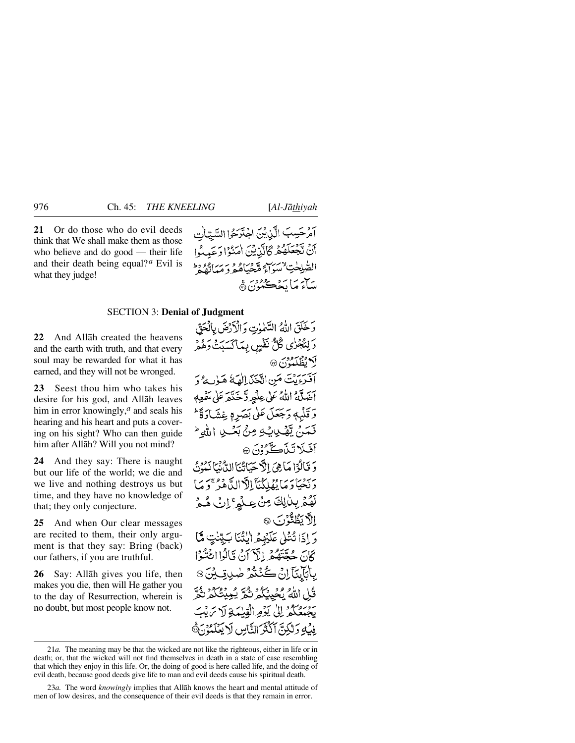**21** Or do those who do evil deeds think that We shall make them as those who believe and do good — their life and their death being equal?*<sup>a</sup>* Evil is what they judge!

آمرْحَسِبَ الَّذِيْنَ اجْتَرَحُوا السَّيّاتِ أَنْ تَجْعَلَهُمْ كَالَّدْيْنَ اٰ مَنْوَادَ عَمِلُوا القبلِحٰتِ نَسَوَآءً مِنْجَبَاهُمْ وَمَيَاتِفُهُ ساء ما بجھ درس<br>مداء ما بچڪمون ه

## SECTION 3: **Denial of Judgment**

**22** And Allåh created the heavens and the earth with truth, and that every soul may be rewarded for what it has earned, and they will not be wronged.

**23** Seest thou him who takes his desire for his god, and Allåh leaves him in error knowingly,<sup>*a*</sup> and seals his hearing and his heart and puts a covering on his sight? Who can then guide him after Allåh? Will you not mind?

**24** And they say: There is naught but our life of the world; we die and we live and nothing destroys us but time, and they have no knowledge of that; they only conjecture.

**25** And when Our clear messages are recited to them, their only argument is that they say: Bring (back) our fathers, if you are truthful.

**26** Say: Allåh gives you life, then makes you die, then will He gather you to the day of Resurrection, wherein is no doubt, but most people know not.

وَخَلَقَ اللَّهُ السَّمْوٰتِ وَالْأَرْضَ بِالْحَقّ دَلِنْجُرٰى ݣُلٌّ نَفْسٍ بِبَاكْسَبِتْ دَهْمْرِ لَا يُظْلَمُوْنَ ۞ آفترة بِنْتَ مَنِ اتَّحْنَىٰ الْعَدَّ الْمَاءُ هَـٰوٰٮ مُرُدَّ آضَلَّهُ اللَّهُ عَلَى عِلْمِهِ وَّخَذَّمَ عَلَى سَمْعِهِ وَقَلْبِهِ وَجَعَلَ عَلَى بَصَرِهِ غِشَادَةً \* فَعَنْ يَّهْدِيثِهِ مِنْ بَعْدِ اللهِ لَهُ يَحْ آفيكا تَنْڪَ ُوْنَ ۞ وَ قَالَوْا مَا هِيَ الْأَحْيَانَيْمَا لِإِيْقِ بِمِنْ بِمُدْثِرِ رَبِّحْيَادَ مَا يُهْلِكُنَّآ الْأَالِدَّاهُوْ ۚ وَ مَا لَهُمْ بِبِلْلِكَ مِنْ عِلْمٍ ۚ إِنَّ هُمْ الآدىگا ئۇزىر، وَ إِذَا تُتْلَىٰ عَلَيْهِمْ الْنُّنَا بَِيِّنْتِ مَّا كَانَ حُقَّتَهُمْ إِلَّآ َإِنَّ قَالُوااغُتُوْا بِالْمَانِيَّ إِنْ ڪُنُنْدُ صٰدِقِ بِنَ @ قُلِ اللَّهُ بِحَيِّيْكُمُ نَكُرَّ يُعِيْتُكُمْ نُكَّرَ يَجْبِدُكُمْ إِلَىٰ يَؤْمِرالْقِبْهَةِ لَا سَ بِْبَ فِيْهِ وَلَٰكِنَّ أَكْثَرَ النَّاسِ لَا يَعْلَمُوْنَ هَ

<sup>21</sup>*a.* The meaning may be that the wicked are not like the righteous, either in life or in death; or, that the wicked will not find themselves in death in a state of ease resembling that which they enjoy in this life. Or, the doing of good is here called life, and the doing of evil death, because good deeds give life to man and evil deeds cause his spiritual death.

<sup>23</sup>*a.* The word *knowingly* implies that Allåh knows the heart and mental attitude of men of low desires, and the consequence of their evil deeds is that they remain in error.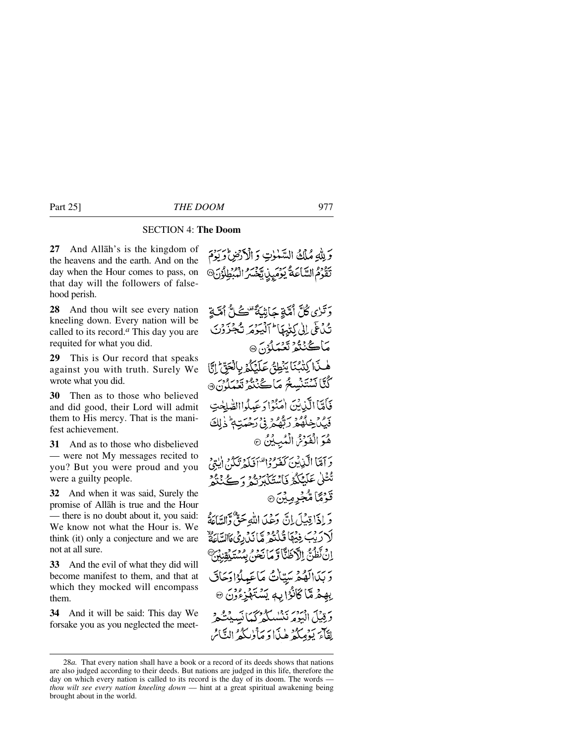### SECTION 4: **The Doom**

**27** And Allåh's is the kingdom of the heavens and the earth. And on the day when the Hour comes to pass, on that day will the followers of falsehood perish.

**28** And thou wilt see every nation kneeling down. Every nation will be called to its record.*<sup>a</sup>* This day you are requited for what you did.

**29** This is Our record that speaks against you with truth. Surely We wrote what you did.

**30** Then as to those who believed and did good, their Lord will admit them to His mercy. That is the manifest achievement.

**31** And as to those who disbelieved — were not My messages recited to you? But you were proud and you were a guilty people.

**32** And when it was said, Surely the promise of Allåh is true and the Hour — there is no doubt about it, you said: We know not what the Hour is. We think (it) only a conjecture and we are not at all sure.

**33** And the evil of what they did will become manifest to them, and that at which they mocked will encompass them.

**34** And it will be said: This day We forsake you as you neglected the meet-

وَلِلَّهِ مُلْكُ السَّمْوٰتِ وَ الْأَرْضِ وَرَدِّمَ تَقَوَّمُ السَّاعَةُ يَوْمَيِّنِ تَخْسُرُ الْمُبْطَلُوْنَ®

وَتَبْرَى كُلَّ أُمَّةٍ جَأَشَةً تَفْءُلُّ أُمَّةٍ تُدُعَى إِلَى كِتَٰبِهَا أَآلَيْهِ مَرْتَجْزَوْنَ مَاڭْنْتُمْ تَعْبَلُوْنَ ۞ هْذَا كِتْبُنَا يَنْطِقُ عَلَيْكُمْ بِالْحَقِّ إِنَّا ڭئانشتنسۇ ماڪ<sup>روو</sup>ر تېرور<br>شىلان فَأَمَّا الَّذِيْنَ إِمَنُوْا دَعَبِيْدَا الصَّلَحْتِ فَيْكَ خِلْفُعْ رَبِّهُكُّ فِي رَحْمَتِهِ ۚ ذَٰلِكَ هُوَ الْفَوْشُ الْمُبِيْنُ ۞ وَآمَنَا الَّذِينَ كَفَرُوا مُنْ يَدَوِينَ إِيْتِي تُتَلَىٰ عَلَيْكُمُرْ فَأَسْتَكَبَّرَتُمْ وَكَتْخَذُرُ قَوْمَاً مُّجْرِمِينَ۞ وَ إِذَا قِيْلَ إِنَّ وَعَلَىٰ اللَّهِ حَقٌّ وَالسَّاعَةُ لَا رَبِّبَ فِيُهَا قُلْتُمْ مَّا نَدْرِيْ مَاالسَّاعَةٌ اِنْ نَظُنُّ الْأَطَنَّاوَ مَا نَحْنُ بِمُسْتَبِقِنِبُنَّ وَبَدَالَهُمْ سَيّاتُ مَاعَيلُوْادَحَاقَ بِهِمْ مَّا كَانُوْا بِهٖ يَسْتَهْزِءُوْنَ ۞ ر دين ايرور بردر سودس.<br>و قبيل البومر نىشىلگە كىكانسىيىشكە لقآءَ بَدُمِيكُمْ هٰذَا دَ مَأْوٰبِيَكُمُ النَّاسُ

<sup>28</sup>*a.* That every nation shall have a book or a record of its deeds shows that nations are also judged according to their deeds. But nations are judged in this life, therefore the day on which every nation is called to its record is the day of its doom. The words *thou wilt see every nation kneeling down* — hint at a great spiritual awakening being brought about in the world.